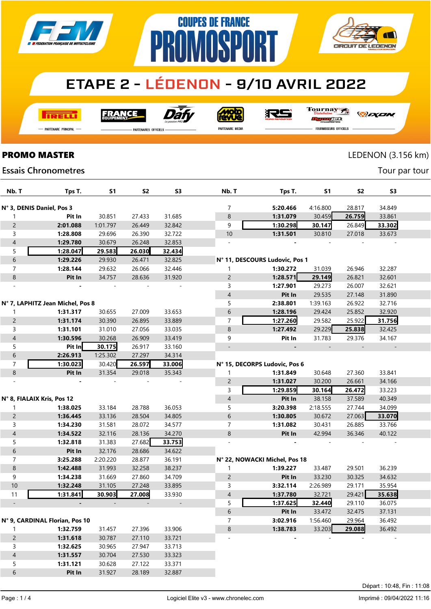

# **COUPES DE FRANCE** PR **AMASPART**



## **ETAPE 2 - LÉDENON - 9/10 AVRIL 2022**

**TRELL** 

FRANCE

Dài

**MOID** 

RS

Tournay 7

- Partenaire Principal

**PROMO MASTER** 

**Essais Chronometres** 

PARTENAIRES OFFICIELS

PARTENAIRE MEDIA

*DEXEN* 

**Dund**st **FOURNISSEURS OFFICIELS** 

### LEDENON (3.156 km)

Tour par tour

| Nb. T                          | Tps T.                           | S1       | S <sub>2</sub> | S <sub>3</sub> | Nb. T          | Tps T.                         | S1       | S2     | S <sub>3</sub> |  |
|--------------------------------|----------------------------------|----------|----------------|----------------|----------------|--------------------------------|----------|--------|----------------|--|
|                                |                                  |          |                |                |                |                                |          |        |                |  |
|                                | N° 3, DENIS Daniel, Pos 3        |          |                |                | 7              | 5:20.466                       | 4:16.800 | 28.817 | 34.849         |  |
| 1                              | Pit In                           | 30.851   | 27.433         | 31.685         | 8              | 1:31.079                       | 30.459   | 26.759 | 33.861         |  |
| $\overline{c}$                 | 2:01.088                         | 1:01.797 | 26.449         | 32.842         | 9              | 1:30.298                       | 30.147   | 26.849 | 33.302         |  |
| 3                              | 1:28.808                         | 29.696   | 26.390         | 32.722         | $10$           | 1:31.501                       | 30.810   | 27.018 | 33.673         |  |
| $\overline{4}$                 | 1:29.780                         | 30.679   | 26.248         | 32.853         | $\sim$         |                                |          |        |                |  |
| 5                              | 1:28.047                         | 29.583   | 26.030         | 32.434         |                |                                |          |        |                |  |
| $\,$ 6 $\,$                    | 1:29.226                         | 29.930   | 26.471         | 32.825         |                | N° 11, DESCOURS Ludovic, Pos 1 |          |        |                |  |
| $\overline{7}$                 | 1:28.144                         | 29.632   | 26.066         | 32.446         | 1              | 1:30.272                       | 31.039   | 26.946 | 32.287         |  |
| $\,8\,$                        | Pit In                           | 34.757   | 28.636         | 31.920         | $\overline{c}$ | 1:28.571                       | 29.149   | 26.821 | 32.601         |  |
|                                |                                  |          |                |                | 3              | 1:27.901                       | 29.273   | 26.007 | 32.621         |  |
|                                |                                  |          |                |                | 4              | Pit In                         | 29.535   | 27.148 | 31.890         |  |
|                                | N° 7, LAPHITZ Jean Michel, Pos 8 |          |                |                | 5              | 2:38.801                       | 1:39.163 | 26.922 | 32.716         |  |
| 1                              | 1:31.317                         | 30.655   | 27.009         | 33.653         | 6              | 1:28.196                       | 29.424   | 25.852 | 32.920         |  |
| $\overline{c}$                 | 1:31.174                         | 30.390   | 26.895         | 33.889         | 7              | 1:27.260                       | 29.582   | 25.922 | 31.756         |  |
| 3                              | 1:31.101                         | 31.010   | 27.056         | 33.035         | $\,8\,$        | 1:27.492                       | 29.229   | 25.838 | 32.425         |  |
| $\sqrt{4}$                     | 1:30.596                         | 30.268   | 26.909         | 33.419         | 9              | Pit In                         | 31.783   | 29.376 | 34.167         |  |
| 5                              | Pit In                           | 30.175   | 26.917         | 33.160         |                |                                |          |        |                |  |
| $\boldsymbol{6}$               | 2:26.913                         | 1:25.302 | 27.297         | 34.314         |                |                                |          |        |                |  |
| $\overline{7}$                 | 1:30.023                         | 30.420   | 26.597         | 33.006         |                | N° 15, DECORPS Ludovic, Pos 6  |          |        |                |  |
| $\,$ 8 $\,$                    | Pit In                           | 31.354   | 29.018         | 35.343         | $\mathbf{1}$   | 1:31.849                       | 30.648   | 27.360 | 33.841         |  |
|                                |                                  |          |                |                | $\overline{c}$ | 1:31.027                       | 30.200   | 26.661 | 34.166         |  |
|                                |                                  |          |                |                | 3              | 1:29.859                       | 30.164   | 26.472 | 33.223         |  |
|                                | N° 8, FIALAIX Kris, Pos 12       |          |                |                | 4              | Pit In                         | 38.158   | 37.589 | 40.349         |  |
| $\mathbf{1}$                   | 1:38.025                         | 33.184   | 28.788         | 36.053         | 5              | 3:20.398                       | 2:18.555 | 27.744 | 34.099         |  |
| $\overline{c}$                 | 1:36.445                         | 33.136   | 28.504         | 34.805         | 6              | 1:30.805                       | 30.672   | 27.063 | 33.070         |  |
| 3                              | 1:34.230                         | 31.581   | 28.072         | 34.577         | 7              | 1:31.082                       | 30.431   | 26.885 | 33.766         |  |
| $\sqrt{4}$                     | 1:34.522                         | 32.116   | 28.136         | 34.270         | 8              | Pit In                         | 42.994   | 36.346 | 40.122         |  |
| 5                              | 1:32.818                         | 31.383   | 27.682         | 33.753         |                |                                |          |        |                |  |
| $\boldsymbol{6}$               | Pit In                           | 32.176   | 28.686         | 34.622         |                |                                |          |        |                |  |
| $\overline{7}$                 | 3:25.288                         | 2:20.220 | 28.877         | 36.191         |                | N° 22, NOWACKI Michel, Pos 18  |          |        |                |  |
| $\, 8$                         | 1:42.488                         | 31.993   | 32.258         | 38.237         | $\mathbf{1}$   | 1:39.227                       | 33.487   | 29.501 | 36.239         |  |
| 9                              | 1:34.238                         | 31.669   | 27.860         | 34.709         | $\overline{c}$ | Pit In                         | 33.230   | 30.325 | 34.632         |  |
| $10$                           | 1:32.248                         | 31.105   | 27.248         | 33.895         | 3              | 3:32.114                       | 2:26.989 | 29.171 | 35.954         |  |
| 11                             | 1:31.841                         | 30.903   | 27.008         | 33.930         | 4              | 1:37.780                       | 32.721   | 29.421 | 35.638         |  |
| $\overline{\phantom{a}}$       |                                  |          |                |                | 5              | 1:37.625                       | 32.440   | 29.110 | 36.075         |  |
|                                |                                  |          |                |                | 6              | Pit In                         | 33.472   | 32.475 | 37.131         |  |
| N° 9, CARDINAL Florian, Pos 10 |                                  |          |                | 7              | 3:02.916       | 1:56.460                       | 29.964   | 36.492 |                |  |
| 1                              | 1:32.759                         | 31.457   | 27.396         | 33.906         | $\bf 8$        | 1:38.783                       | 33.203   | 29.088 | 36.492         |  |
| $\overline{c}$                 | 1:31.618                         | 30.787   | 27.110         | 33.721         | ÷,             |                                |          |        |                |  |
| $\mathsf{3}$                   | 1:32.625                         | 30.965   | 27.947         | 33.713         |                |                                |          |        |                |  |
| $\overline{\mathcal{A}}$       | 1:31.557                         | 30.704   | 27.530         | 33.323         |                |                                |          |        |                |  |
| 5                              | 1:31.121                         | 30.628   | 27.122         | 33.371         |                |                                |          |        |                |  |
| $\boldsymbol{6}$               | Pit In                           | 31.927   | 28.189         | 32.887         |                |                                |          |        |                |  |
|                                |                                  |          |                |                |                |                                |          |        |                |  |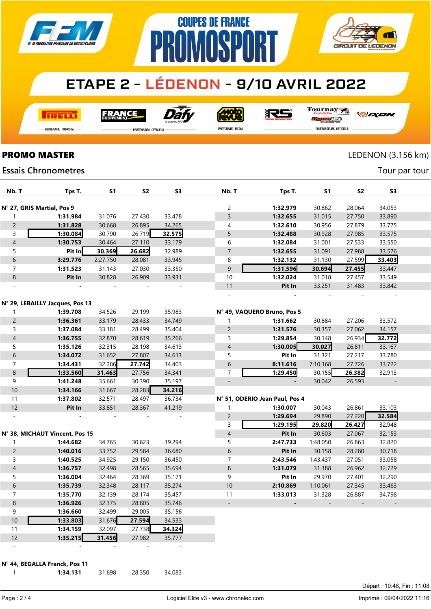

## **ETAPE 2 - LÉDENON - 9/10 AVRIL 2022**

**COUPES DE FRANCE** 

**MNR** 

**I तत्वच**र्च

**FRANCE** 



**MOLO** 

Tournay 沢ら

*DEXEN* 

**CIRCUIT DE LEDENON** 

- Partenaire Principal

**PARTENAIRES OFFICIELS** 

PR

PARTENAIRE MEDIA

orse **FOURNISSEURS OFFICIELS** 

 $\overline{\Lambda}$ 

Tour par tour

### **PROMO MASTER** LEDENON (3.156 km)

#### **Essais Chronometres**

| Nb. T                    | Tps T.                          | <b>S1</b>        | <b>S2</b>        | S <sub>3</sub>   | Nb. T                    | Tps T.                         | S <sub>1</sub> | S <sub>2</sub> | S <sub>3</sub> |  |
|--------------------------|---------------------------------|------------------|------------------|------------------|--------------------------|--------------------------------|----------------|----------------|----------------|--|
|                          | N° 27, GRIS Martial, Pos 9      |                  |                  |                  | 2                        | 1:32.979                       | 30.862         | 28.064         | 34.053         |  |
| 1                        | 1:31.984                        | 31.076           | 27.430           | 33.478           | 3                        | 1:32.655                       | 31.015         | 27.750         | 33.890         |  |
| $\overline{c}$           | 1:31.828                        | 30.668           | 26.895           | 34.265           | 4                        | 1:32.610                       | 30.956         | 27.879         | 33.775         |  |
| 3                        | 1:30.084                        | 30.790           | 26.719           | 32.575           | 5                        | 1:32.488                       | 30.928         | 27.985         | 33.575         |  |
| $\overline{4}$           | 1:30.753                        | 30.464           | 27.110           | 33.179           | 6                        | 1:32.084                       | 31.001         | 27.533         | 33.550         |  |
| 5                        | Pit In                          | 30.369           | 26.682           | 32.989           | $\overline{7}$           | 1:32.655                       | 31.091         | 27.988         | 33.576         |  |
| 6                        | 3:29.776                        | 2:27.750         | 28.081           | 33.945           | 8                        | 1:32.132                       | 31.130         | 27.599         | 33.403         |  |
| $\overline{7}$           | 1:31.523                        | 31.143           | 27.030           | 33.350           | 9                        | 1:31.596                       | 30.694         | 27.455         | 33.447         |  |
| 8                        | Pit In                          | 30.828           | 26.909           | 33.931           | 10                       | 1:32.024                       | 31.018         | 27.457         | 33.549         |  |
|                          |                                 |                  |                  |                  | 11                       | Pit In                         | 33.251         | 31.483         | 33.842         |  |
|                          |                                 |                  |                  |                  |                          |                                |                |                |                |  |
|                          | N° 29, LEBAILLY Jacques, Pos 13 |                  |                  |                  |                          |                                |                |                |                |  |
| 1                        | 1:39.708                        | 34.526           | 29.199           | 35.983           |                          | N° 49, VAQUERO Bruno, Pos 5    |                |                |                |  |
| $\overline{c}$           | 1:36.361                        | 33.179           | 28.433           | 34.749           | 1                        | 1:31.662                       | 30.884         | 27.206         | 33.572         |  |
| 3                        | 1:37.084                        | 33.181           | 28.499           | 35.404           | $\overline{c}$           | 1:31.576                       | 30.357         | 27.062         | 34.157         |  |
| $\overline{\mathcal{L}}$ | 1:36.755                        | 32.870           | 28.619           | 35.266           | 3                        | 1:29.854                       | 30.148         | 26.934         | 32.772         |  |
| 5                        | 1:35.126                        | 32.315           | 28.198           | 34.613           | 4                        | 1:30.005                       | 30.027         | 26.811         | 33.167         |  |
| $\sqrt{6}$               | 1:34.072                        | 31.652           | 27.807           | 34.613           | 5                        | Pit In                         | 31.321         | 27.217         | 33.780         |  |
| $\overline{7}$           | 1:34.431                        | 32.286           | 27.742           | 34.403           | 6                        | 8:11.616                       | 7:10.168       | 27.726         | 33.722         |  |
| $\,8\,$                  | 1:33.560                        | 31.463           | 27.756           | 34.341           | $\overline{7}$           | 1:29.450                       | 30.155         | 26.382         | 32.913         |  |
| 9                        | 1:41.248                        | 35.661           | 30.390           | 35.197           | $\overline{\phantom{a}}$ |                                | 30.042         | 26.593         |                |  |
| 10                       | 1:34.166                        | 31.667           | 28.283           | 34.216           |                          |                                |                |                |                |  |
| 11                       | 1:37.802                        | 32.571           | 28.497           | 36.734           |                          | N° 51, ODERIO Jean Paul, Pos 4 |                |                |                |  |
| 12                       | Pit In                          | 33.851           | 28.367           | 41.219           | 1                        | 1:30.007                       | 30.043         | 26.861         | 33.103         |  |
| $\sim$                   |                                 |                  |                  |                  | $\overline{c}$           | 1:29.694                       | 29.890         | 27.220         | 32.584         |  |
|                          |                                 |                  |                  |                  | 3                        | 1:29.195                       | 29.820         | 26.427         | 32.948         |  |
|                          | N° 38, MICHAUT Vincent, Pos 15  |                  |                  |                  | $\overline{\mathcal{L}}$ | Pit In                         | 30.603         | 27.067         | 32.153         |  |
| $\mathbf{1}$             | 1:44.682                        | 34.765           | 30.623           | 39.294           | 5                        | 2:47.733                       | 1:48.050       | 26.863         | 32.820         |  |
| $\overline{c}$           | 1:40.016                        | 33.752           | 29.584           | 36.680           | $\boldsymbol{6}$         | Pit In                         | 30.158         | 28.280         | 30.718         |  |
| 3                        | 1:40.525                        | 34.925           | 29.150           | 36.450           | 7                        | 2:43.546                       | 1:43.437       | 27.051         | 33.058         |  |
| $\overline{\mathcal{A}}$ | 1:36.757                        | 32.498           | 28.565           | 35.694           | 8                        | 1:31.079                       | 31.388         | 26.962         | 32.729         |  |
| 5                        | 1:36.004                        | 32.464           | 28.369           | 35.171           | 9                        | Pit In                         | 29.970         | 27.401         | 32.290         |  |
| $\sqrt{6}$               | 1:35.739                        | 32.348           | 28.117           | 35.274           | 10                       | 2:10.869                       | 1:10.061       | 27.345         | 33.463         |  |
| $\overline{7}$           | 1:35.770                        | 32.139           | 28.174           | 35.457           | 11                       | 1:33.013                       | 31.328         | 26.887         | 34.798         |  |
| $\,8\,$                  | 1:36.926                        | 32.375           | 28.805           | 35.746           |                          |                                |                |                |                |  |
| 9<br>10                  | 1:36.660                        | 32.499<br>31.676 | 29.005<br>27.594 | 35.156           |                          |                                |                |                |                |  |
| 11                       | 1:33.803<br>1:34.159            | 32.097           | 27.738           | 34.533<br>34.324 |                          |                                |                |                |                |  |
|                          |                                 |                  |                  |                  |                          |                                |                |                |                |  |

N° 44, BEGALLA Franck, Pos 11

 1:35.215 31.456 27.982 35.777 - - - - -

Page : 2 / 4

Départ : 10:48, Fin : 11:08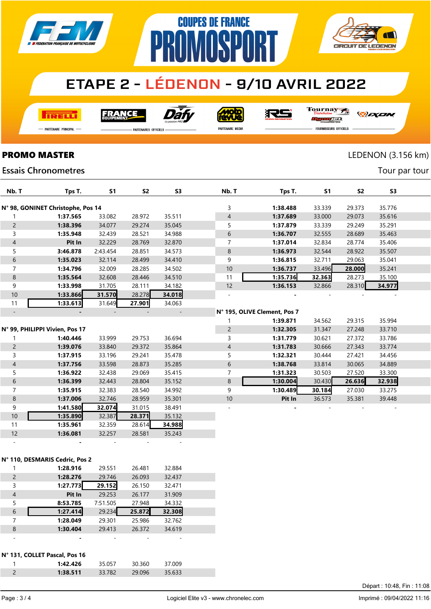

## **ETAPE 2 - LÉDENON - 9/10 AVRIL 2022**

**COUPES DE FRANCE** 

**NMNSPA** 

**TRELLI** 

FRANCE



**Moto**<br>ANG

RS

Tournay

*DEXEN* 

**CIRCUIT DE LEDENON** 

- Partenaire Principal

**PARTENAIRES OFFICIELS** 

PR

PARTENAIRE MEDIA

**JEC** FOURNISSEURS OFFICIELS

**PROMO MASTER** LEDENON (3.156 km)

Tour par tour

### **Essais Chronometres**

| Nb. T                    | Tps T.                            | <b>S1</b> | <b>S2</b> | S <sub>3</sub> | Nb. T          | Tps T.                       | S <sub>1</sub> | <b>S2</b> | S <sub>3</sub> |  |
|--------------------------|-----------------------------------|-----------|-----------|----------------|----------------|------------------------------|----------------|-----------|----------------|--|
|                          | N° 98, GONINET Christophe, Pos 14 |           |           |                | 3              | 1:38.488                     | 33.339         | 29.373    | 35.776         |  |
|                          | 1:37.565                          | 33.082    | 28.972    | 35.511         | $\overline{4}$ | 1:37.689                     | 33.000         | 29.073    | 35.616         |  |
| $\overline{2}$           | 1:38.396                          | 34.077    | 29.274    | 35.045         | 5              | 1:37.879                     | 33.339         | 29.249    | 35.291         |  |
| $\mathsf{3}$             | 1:35.948                          | 32.439    | 28.521    | 34.988         | 6              | 1:36.707                     | 32.555         | 28.689    | 35.463         |  |
| $\overline{4}$           | Pit In                            | 32.229    | 28.769    | 32.870         | $\overline{7}$ | 1:37.014                     | 32.834         | 28.774    | 35.406         |  |
| 5                        | 3:46.878                          | 2:43.454  | 28.851    | 34.573         | $\,$ 8 $\,$    | 1:36.973                     | 32.544         | 28.922    | 35.507         |  |
| $\boldsymbol{6}$         | 1:35.023                          | 32.114    | 28.499    | 34.410         | 9              | 1:36.815                     | 32.711         | 29.063    | 35.041         |  |
| $\overline{7}$           | 1:34.796                          | 32.009    | 28.285    | 34.502         | 10             | 1:36.737                     | 33.496         | 28.000    | 35.241         |  |
| $\,8\,$                  | 1:35.564                          | 32.608    | 28.446    | 34.510         | 11             | 1:35.736                     | 32.363         | 28.273    | 35.100         |  |
| 9                        | 1:33.998                          | 31.705    | 28.111    | 34.182         | 12             | 1:36.153                     | 32.866         | 28.310    | 34.977         |  |
| 10                       | 1:33.866                          | 31.570    | 28.278    | 34.018         |                |                              |                |           |                |  |
| 11                       | 1:33.613                          | 31.649    | 27.901    | 34.063         |                |                              |                |           |                |  |
| $\overline{\phantom{a}}$ |                                   |           |           |                |                | N° 195, OLIVE Clement, Pos 7 |                |           |                |  |
|                          |                                   |           |           |                |                | 1:39.871                     | 34.562         | 29.315    | 35.994         |  |
|                          | N° 99, PHILIPPI Vivien, Pos 17    |           |           |                | $\overline{c}$ | 1:32.305                     | 31.347         | 27.248    | 33.710         |  |
|                          | 1:40.446                          | 33.999    | 29.753    | 36.694         | 3              | 1:31.779                     | 30.621         | 27.372    | 33.786         |  |
| $\overline{c}$           | 1:39.076                          | 33.840    | 29.372    | 35.864         | 4              | 1:31.783                     | 30.666         | 27.343    | 33.774         |  |
| $\mathsf{3}$             | 1:37.915                          | 33.196    | 29.241    | 35.478         | 5              | 1:32.321                     | 30.444         | 27.421    | 34.456         |  |
| $\overline{4}$           | 1:37.756                          | 33.598    | 28.873    | 35.285         | 6              | 1:38.768                     | 33.814         | 30.065    | 34.889         |  |
| 5                        | 1:36.922                          | 32.438    | 29.069    | 35.415         | $\overline{7}$ | 1:31.323                     | 30.503         | 27.520    | 33.300         |  |
| $\sqrt{6}$               | 1:36.399                          | 32.443    | 28.804    | 35.152         | 8              | 1:30.004                     | 30.430         | 26.636    | 32.938         |  |
| $\overline{7}$           | 1:35.915                          | 32.383    | 28.540    | 34.992         | 9              | 1:30.489                     | 30.184         | 27.030    | 33.275         |  |
| $\,8\,$                  | 1:37.006                          | 32.746    | 28.959    | 35.301         | 10             | Pit In                       | 36.573         | 35.381    | 39.448         |  |
| 9                        | 1:41.580                          | 32.074    | 31.015    | 38.491         |                |                              |                |           |                |  |
| 10                       | 1:35.890                          | 32.387    | 28.371    | 35.132         |                |                              |                |           |                |  |
| 11                       | 1:35.961                          | 32.359    | 28.614    | 34.988         |                |                              |                |           |                |  |
| 12                       | 1:36.081                          | 32.257    | 28.581    | 35.243         |                |                              |                |           |                |  |
|                          |                                   |           |           |                |                |                              |                |           |                |  |
|                          | N° 110, DESMARIS Cedric, Pos 2    |           |           |                |                |                              |                |           |                |  |
|                          |                                   |           |           |                |                |                              |                |           |                |  |

|   | 1:28.916 | 29.551   | 26.481 | 32.884 |  |
|---|----------|----------|--------|--------|--|
| 2 | 1:28.276 | 29.746   | 26.093 | 32.437 |  |
| 3 | 1:27.773 | 29.152   | 26.150 | 32.471 |  |
| 4 | Pit In   | 29.253   | 26.177 | 31.909 |  |
| 5 | 8:53.785 | 7:51.505 | 27.948 | 34.332 |  |
| 6 | 1:27.414 | 29.234   | 25.872 | 32.308 |  |
|   | 1:28.049 | 29.301   | 25.986 | 32.762 |  |
| 8 | 1:30.404 | 29.413   | 26.372 | 34.619 |  |
|   |          |          |        |        |  |

#### N° 131, COLLET Pascal, Pos 16

| 35.057<br>1:42.426<br>30.360<br>37.009   |  |
|------------------------------------------|--|
| 1:38.511<br>35.633<br>$-33782$<br>29.096 |  |

Départ : 10:48, Fin : 11:08